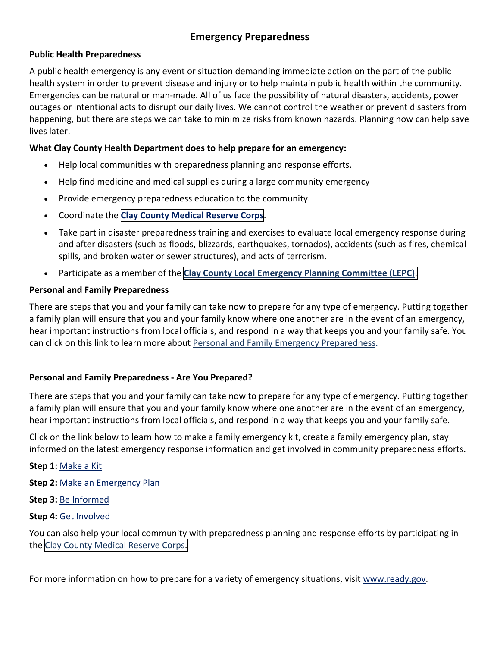# **Emergency Preparedness**

### **Public Health Preparedness**

A public health emergency is any event or situation demanding immediate action on the part of the public health system in order to prevent disease and injury or to help maintain public health within the community. Emergencies can be natural or man‐made. All of us face the possibility of natural disasters, accidents, power outages or intentional acts to disrupt our daily lives. We cannot control the weather or prevent disasters from happening, but there are steps we can take to minimize risks from known hazards. Planning now can help save lives later.

## **What Clay County Health Department does to help prepare for an emergency:**

- Help local communities with preparedness planning and response efforts.
- Help find medicine and medical supplies during a large community emergency
- Provide emergency preparedness education to the community.
- Coordinate the **Clay County Medical Reserve Corps**.
- Take part in disaster preparedness training and exercises to evaluate local emergency response during and after disasters (such as floods, blizzards, earthquakes, tornados), accidents (such as fires, chemical spills, and broken water or sewer structures), and acts of terrorism.
- Participate as a member of the **Clay County Local Emergency Planning [Committee](#page-1-0) (LEPC)**.

### **Personal and Family Preparedness**

There are steps that you and your family can take now to prepare for any type of emergency. Putting together a family plan will ensure that you and your family know where one another are in the event of an emergency, hear important instructions from local officials, and respond in a way that keeps you and your family safe. You can click on this link to learn more about Personal and Family Emergency Preparedness.

## **Personal and Family Preparedness ‐ Are You Prepared?**

There are steps that you and your family can take now to prepare for any type of emergency. Putting together a family plan will ensure that you and your family know where one another are in the event of an emergency, hear important instructions from local officials, and respond in a way that keeps you and your family safe.

Click on the link below to learn how to make a family emergency kit, create a family emergency plan, stay informed on the latest emergency response information and get involved in community preparedness efforts.

#### **Step 1:** Make a Kit

- **Step 2:** Make an Emergency Plan
- **Step 3:** Be Informed
- **Step 4:** Get Involved

You can also help your local community with preparedness planning and response efforts by participating in the Clay County Medical Reserve Corps.

For more information on how to prepare for a variety of emergency situations, visit www.ready.gov.